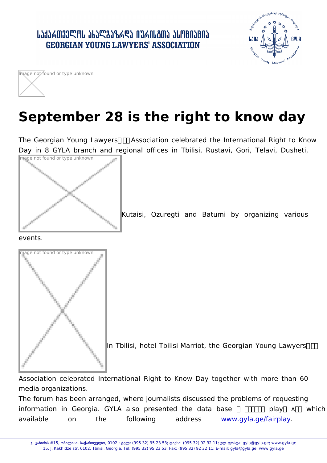## September 28 is the right to know

The Georgian Young Lawyers Association celebrated the Interna Day in 8 GYLA branch and regional offices in Tbilisi, Rustavi Image not found or type unknown

Kutaisi, Ozuregti and Batumi by organi

events.

Image not found or type unknown

In Tbilisi, hotel Tbilisi-Marriot, the Georgian Y

Association celebrated International Right to Know Day togethe media organizations.

The forum has been arranged, where journalists discussed the pro information in Georgia. GYLA also presented the data base available on the following gyla.ge/faaddpreasys